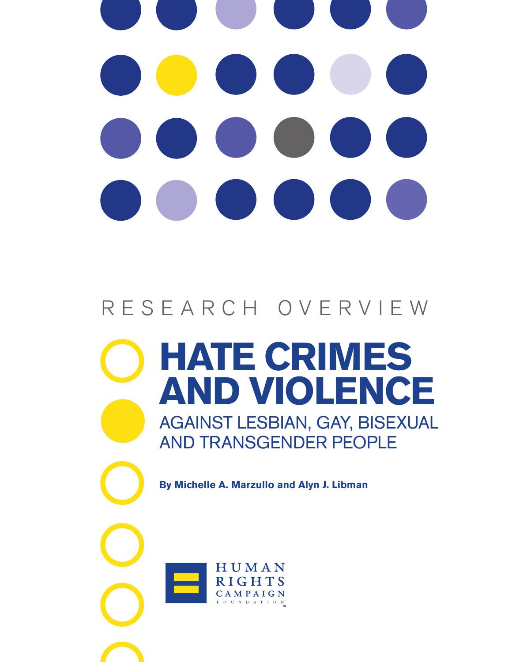# RESEARCH OVERVIEW

**Hate Crimes AND Violence** Against Lesbian, Gay, Bisexual and Transgender People

**By Michelle A. Marzullo and Alyn J. Libman**

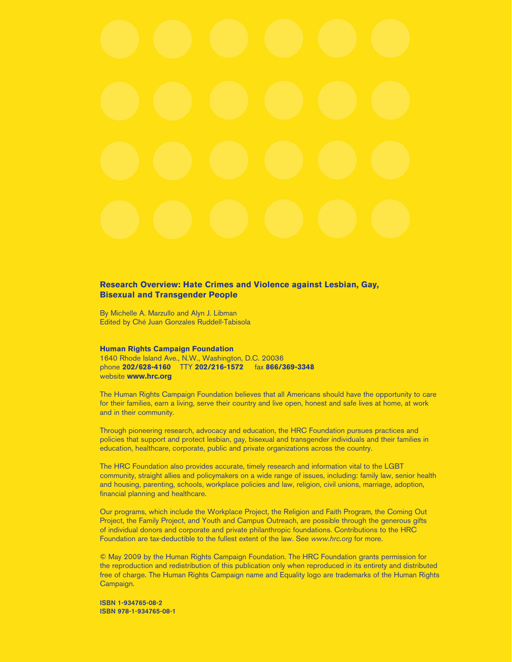#### **Research Overview: Hate Crimes and Violence against Lesbian, Gay, Bisexual and Transgender People**

By Michelle A. Marzullo and Alyn J. Libman Edited by Ché Juan Gonzales Ruddell-Tabisola

#### **Human Rights Campaign Foundation**

1640 Rhode Island Ave., N.W., Washington, D.C. 20036 phone **202/628-4160** TTY **202/216-1572** fax **866/369-3348** website **www.hrc.org**

The Human Rights Campaign Foundation believes that all Americans should have the opportunity to care for their families, earn a living, serve their country and live open, honest and safe lives at home, at work and in their community.

Through pioneering research, advocacy and education, the HRC Foundation pursues practices and policies that support and protect lesbian, gay, bisexual and transgender individuals and their families in education, healthcare, corporate, public and private organizations across the country.

The HRC Foundation also provides accurate, timely research and information vital to the LGBT community, straight allies and policymakers on a wide range of issues, including: family law, senior health and housing, parenting, schools, workplace policies and law, religion, civil unions, marriage, adoption, financial planning and healthcare.

Our programs, which include the Workplace Project, the Religion and Faith Program, the Coming Out Project, the Family Project, and Youth and Campus Outreach, are possible through the generous gifts of individual donors and corporate and private philanthropic foundations. Contributions to the HRC Foundation are tax-deductible to the fullest extent of the law. See *www.hrc.org* for more.

© May 2009 by the Human Rights Campaign Foundation. The HRC Foundation grants permission for the reproduction and redistribution of this publication only when reproduced in its entirety and distributed free of charge. The Human Rights Campaign name and Equality logo are trademarks of the Human Rights Campaign.

ISBN 1-934765-08-2 ISBN 978-1-934765-08-1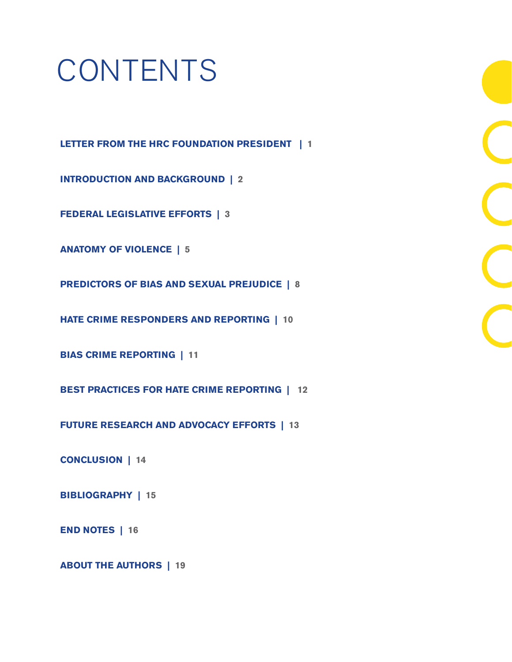# **CONTENTS**

**Letter from the HRC Foundation president | 1**

**Introduction and Background | 2**

**Federal Legislative Efforts | 3**

**Anatomy of Violence | 5**

**Predictors of Bias and Sexual Prejudice | 8**

**Hate Crime Responders and Reporting | 10**

**Bias Crime Reporting | 11** 

**Best Practices for Hate Crime reporting | 12**

**Future Research and Advocacy Efforts | 13**

**Conclusion | 14** 

**Bibliography | 15**

**End notes | 16**

**About the authors | 19**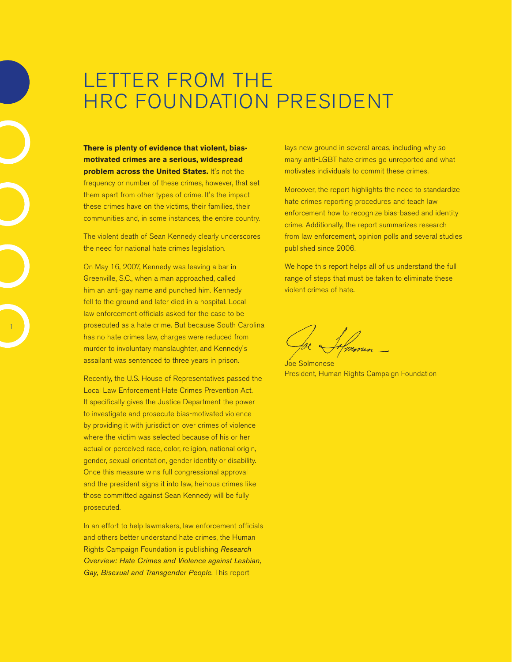### LETTER FROM THE HRC FOUNDATION PRESIDENT

**There is plenty of evidence that violent, biasmotivated crimes are a serious, widespread problem across the United States.** It's not the frequency or number of these crimes, however, that set them apart from other types of crime. It's the impact these crimes have on the victims, their families, their communities and, in some instances, the entire country.

The violent death of Sean Kennedy clearly underscores the need for national hate crimes legislation.

On May 16, 2007, Kennedy was leaving a bar in Greenville, S.C., when a man approached, called him an anti-gay name and punched him. Kennedy fell to the ground and later died in a hospital. Local law enforcement officials asked for the case to be prosecuted as a hate crime. But because South Carolina has no hate crimes law, charges were reduced from murder to involuntary manslaughter, and Kennedy's assailant was sentenced to three years in prison.

1

Recently, the U.S. House of Representatives passed the Local Law Enforcement Hate Crimes Prevention Act. It specifically gives the Justice Department the power to investigate and prosecute bias-motivated violence by providing it with jurisdiction over crimes of violence where the victim was selected because of his or her actual or perceived race, color, religion, national origin, gender, sexual orientation, gender identity or disability. Once this measure wins full congressional approval and the president signs it into law, heinous crimes like those committed against Sean Kennedy will be fully prosecuted.

In an effort to help lawmakers, law enforcement officials and others better understand hate crimes, the Human Rights Campaign Foundation is publishing *Research Overview: Hate Crimes and Violence against Lesbian, Gay, Bisexual and Transgender People*. This report

lays new ground in several areas, including why so many anti-LGBT hate crimes go unreported and what motivates individuals to commit these crimes.

Moreover, the report highlights the need to standardize hate crimes reporting procedures and teach law enforcement how to recognize bias-based and identity crime. Additionally, the report summarizes research from law enforcement, opinion polls and several studies published since 2006.

We hope this report helps all of us understand the full range of steps that must be taken to eliminate these violent crimes of hate.

Joe Solmonese President, Human Rights Campaign Foundation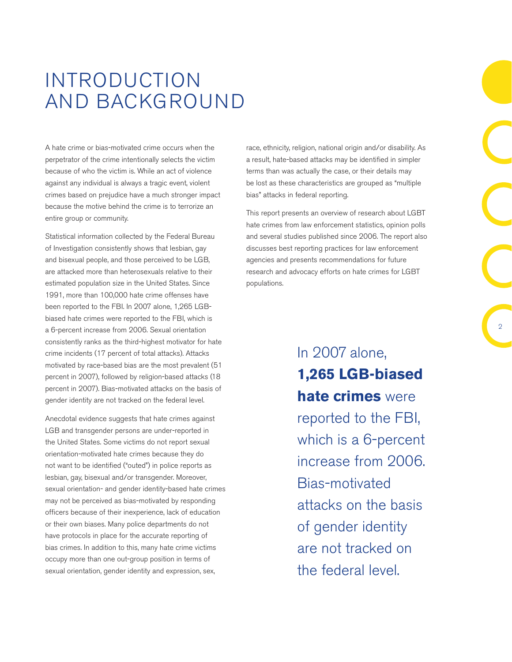### Introduction and Background

A hate crime or bias-motivated crime occurs when the perpetrator of the crime intentionally selects the victim because of who the victim is. While an act of violence against any individual is always a tragic event, violent crimes based on prejudice have a much stronger impact because the motive behind the crime is to terrorize an entire group or community.

Statistical information collected by the Federal Bureau of Investigation consistently shows that lesbian, gay and bisexual people, and those perceived to be LGB, are attacked more than heterosexuals relative to their estimated population size in the United States. Since 1991, more than 100,000 hate crime offenses have been reported to the FBI. In 2007 alone, 1,265 LGBbiased hate crimes were reported to the FBI, which is a 6-percent increase from 2006. Sexual orientation consistently ranks as the third-highest motivator for hate crime incidents (17 percent of total attacks). Attacks motivated by race-based bias are the most prevalent (51 percent in 2007), followed by religion-based attacks (18 percent in 2007). Bias-motivated attacks on the basis of gender identity are not tracked on the federal level.

Anecdotal evidence suggests that hate crimes against LGB and transgender persons are under-reported in the United States. Some victims do not report sexual orientation-motivated hate crimes because they do not want to be identified ("outed") in police reports as lesbian, gay, bisexual and/or transgender. Moreover, sexual orientation- and gender identity-based hate crimes may not be perceived as bias-motivated by responding officers because of their inexperience, lack of education or their own biases. Many police departments do not have protocols in place for the accurate reporting of bias crimes. In addition to this, many hate crime victims occupy more than one out-group position in terms of sexual orientation, gender identity and expression, sex,

race, ethnicity, religion, national origin and/or disability. As a result, hate-based attacks may be identified in simpler terms than was actually the case, or their details may be lost as these characteristics are grouped as "multiple bias" attacks in federal reporting.

This report presents an overview of research about LGBT hate crimes from law enforcement statistics, opinion polls and several studies published since 2006. The report also discusses best reporting practices for law enforcement agencies and presents recommendations for future research and advocacy efforts on hate crimes for LGBT populations.

> In 2007 alone, **1,265 LGB-biased hate crimes** were reported to the FBI, which is a 6-percent increase from 2006. Bias-motivated attacks on the basis of gender identity are not tracked on the federal level.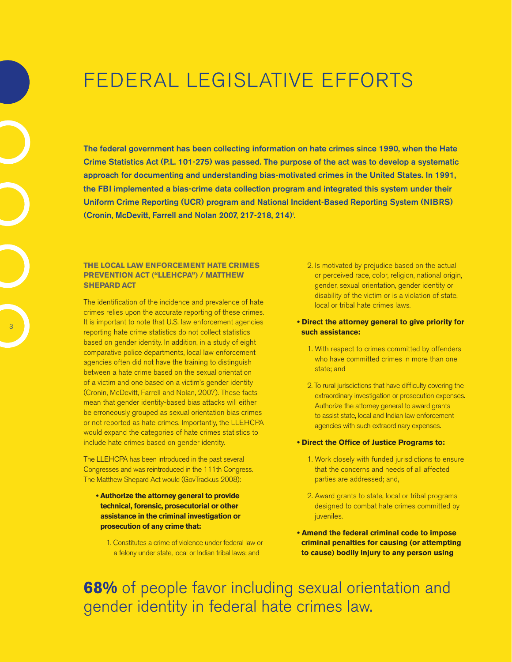### Federal Legislative Efforts

The federal government has been collecting information on hate crimes since 1990, when the Hate Crime Statistics Act (P.L. 101-275) was passed. The purpose of the act was to develop a systematic approach for documenting and understanding bias-motivated crimes in the United States. In 1991, the FBI implemented a bias-crime data collection program and integrated this system under their Uniform Crime Reporting (UCR) program and National Incident-Based Reporting System (NIBRS) (Cronin, McDevitt, Farrell and Nolan 2007, 217-218, 214)i .

#### **The Local Law Enforcement Hate Crimes Prevention Act ("LLEHCPA") / Matthew Shepard Act**

The identification of the incidence and prevalence of hate crimes relies upon the accurate reporting of these crimes. It is important to note that U.S. law enforcement agencies reporting hate crime statistics do not collect statistics based on gender identity. In addition, in a study of eight comparative police departments, local law enforcement agencies often did not have the training to distinguish between a hate crime based on the sexual orientation of a victim and one based on a victim's gender identity (Cronin, McDevitt, Farrell and Nolan, 2007). These facts mean that gender identity-based bias attacks will either be erroneously grouped as sexual orientation bias crimes or not reported as hate crimes. Importantly, the LLEHCPA would expand the categories of hate crimes statistics to include hate crimes based on gender identity.

The LLEHCPA has been introduced in the past several Congresses and was reintroduced in the 111th Congress. The Matthew Shepard Act would (GovTrack.us 2008):

- **Authorize the attorney general to provide technical, forensic, prosecutorial or other assistance in the criminal investigation or prosecution of any crime that:**
	- 1. Constitutes a crime of violence under federal law or a felony under state, local or Indian tribal laws; and
- 2. Is motivated by prejudice based on the actual or perceived race, color, religion, national origin, gender, sexual orientation, gender identity or disability of the victim or is a violation of state, local or tribal hate crimes laws.
- **Direct the attorney general to give priority for such assistance:** 
	- 1. With respect to crimes committed by offenders who have committed crimes in more than one state; and
	- 2. To rural jurisdictions that have difficulty covering the extraordinary investigation or prosecution expenses. Authorize the attorney general to award grants to assist state, local and Indian law enforcement agencies with such extraordinary expenses.
- **Direct the Office of Justice Programs to:** 
	- 1. Work closely with funded jurisdictions to ensure that the concerns and needs of all affected parties are addressed; and,
	- 2. Award grants to state, local or tribal programs designed to combat hate crimes committed by juveniles.
- **Amend the federal criminal code to impose criminal penalties for causing (or attempting to cause) bodily injury to any person using**

**68%** of people favor including sexual orientation and gender identity in federal hate crimes law.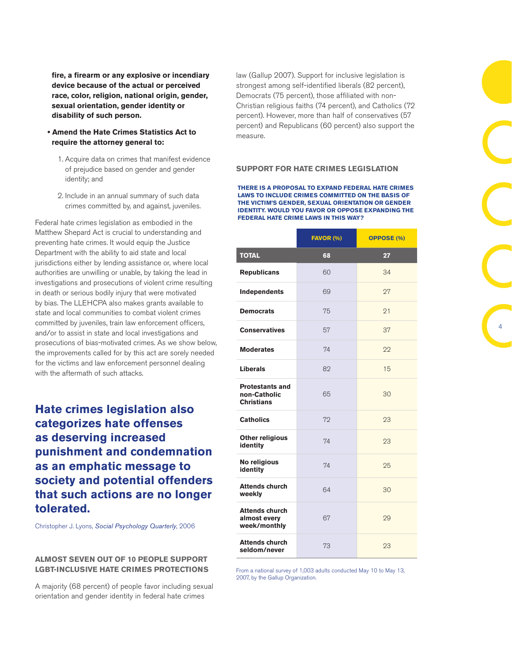**fire, a firearm or any explosive or incendiary device because of the actual or perceived race, color, religion, national origin, gender, sexual orientation, gender identity or disability of such person.** 

- **Amend the Hate Crimes Statistics Act to require the attorney general to:**
	- 1. Acquire data on crimes that manifest evidence of prejudice based on gender and gender identity; and
	- 2. Include in an annual summary of such data crimes committed by, and against, juveniles.

Federal hate crimes legislation as embodied in the Matthew Shepard Act is crucial to understanding and preventing hate crimes. It would equip the Justice Department with the ability to aid state and local jurisdictions either by lending assistance or, where local authorities are unwilling or unable, by taking the lead in investigations and prosecutions of violent crime resulting in death or serious bodily injury that were motivated by bias. The LLEHCPA also makes grants available to state and local communities to combat violent crimes committed by juveniles, train law enforcement officers, and/or to assist in state and local investigations and prosecutions of bias-motivated crimes. As we show below, the improvements called for by this act are sorely needed for the victims and law enforcement personnel dealing with the aftermath of such attacks.

**Hate crimes legislation also categorizes hate offenses as deserving increased punishment and condemnation as an emphatic message to society and potential offenders that such actions are no longer tolerated.**

Christopher J. Lyons, *Social Psychology Quarterly*, 2006

#### **Almost seven out of 10 people support LGBT-inclusive hate crimes protections**

A majority (68 percent) of people favor including sexual orientation and gender identity in federal hate crimes

law (Gallup 2007). Support for inclusive legislation is strongest among self-identified liberals (82 percent), Democrats (75 percent), those affiliated with non-Christian religious faiths (74 percent), and Catholics (72 percent). However, more than half of conservatives (57 percent) and Republicans (60 percent) also support the measure.

#### **Support for hate crimes legislation**

**There is a proposal to expand federal hate crimes laws to include crimes committed on the basis of the victim's gender, sexual orientation or gender identity. Would you favor or oppose expanding the federal hate crime laws in this way?** 

|                                                             | FAVOR (%) | <b>OPPOSE (%)</b> |
|-------------------------------------------------------------|-----------|-------------------|
| <b>TOTAL</b>                                                | 68        | 27                |
| <b>Republicans</b>                                          | 60        | 34                |
| Independents                                                | 69        | 27                |
| <b>Democrats</b>                                            | 75        | 21                |
| <b>Conservatives</b>                                        | 57        | 37                |
| <b>Moderates</b>                                            | 74        | 22                |
| <b>Liberals</b>                                             | 82        | 15                |
| <b>Protestants and</b><br>non-Catholic<br><b>Christians</b> | 65        | 30                |
| <b>Catholics</b>                                            | 72        | 23                |
| <b>Other religious</b><br>identity                          | 74        | 23                |
| No religious<br>identity                                    | 74        | 25                |
| <b>Attends church</b><br>weekly                             | 64        | 30                |
| <b>Attends church</b><br>almost every<br>week/monthly       | 67        | 29                |
| <b>Attends church</b><br>seldom/never                       | 73        | 23                |

4

From a national survey of 1,003 adults conducted May 10 to May 13, 2007, by the Gallup Organization.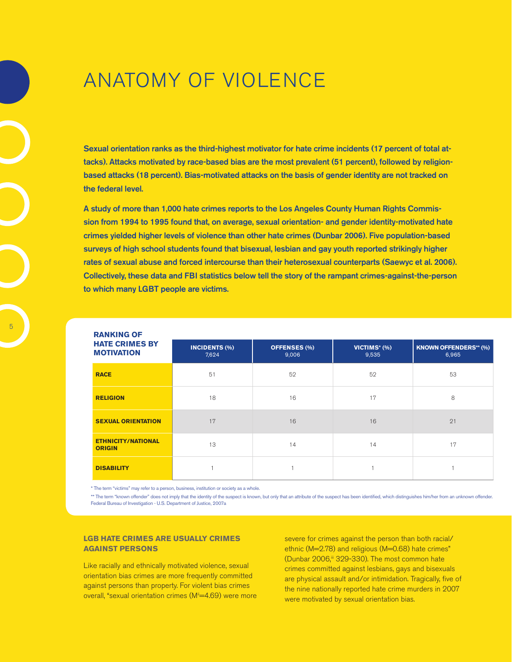### Anatomy of Violence

Sexual orientation ranks as the third-highest motivator for hate crime incidents (17 percent of total attacks). Attacks motivated by race-based bias are the most prevalent (51 percent), followed by religionbased attacks (18 percent). Bias-motivated attacks on the basis of gender identity are not tracked on the federal level.

A study of more than 1,000 hate crimes reports to the Los Angeles County Human Rights Commission from 1994 to 1995 found that, on average, sexual orientation- and gender identity-motivated hate crimes yielded higher levels of violence than other hate crimes (Dunbar 2006). Five population-based surveys of high school students found that bisexual, lesbian and gay youth reported strikingly higher rates of sexual abuse and forced intercourse than their heterosexual counterparts (Saewyc et al. 2006). Collectively, these data and FBI statistics below tell the story of the rampant crimes-against-the-person to which many LGBT people are victims.

| <b>RANKING OF</b>                          |                               |                              |                       |                                       |
|--------------------------------------------|-------------------------------|------------------------------|-----------------------|---------------------------------------|
| <b>HATE CRIMES BY</b><br><b>MOTIVATION</b> | <b>INCIDENTS (%)</b><br>7,624 | <b>OFFENSES (%)</b><br>9,006 | VICTIMS* (%)<br>9,535 | <b>KNOWN OFFENDERS** (%)</b><br>6,965 |
| <b>RACE</b>                                | 51                            | 52                           | 52                    | 53                                    |
| <b>RELIGION</b>                            | 18                            | 16                           | 17                    | 8                                     |
| <b>SEXUAL ORIENTATION</b>                  | 17                            | 16                           | 16                    | 21                                    |
| <b>ETHNICITY/NATIONAL</b><br><b>ORIGIN</b> | 13                            | 14                           | 14                    | 17                                    |
| <b>DISABILITY</b>                          |                               |                              |                       |                                       |

\* The term "victims" may refer to a person, business, institution or society as a whole.

\*\* The term "known offender" does not imply that the identity of the suspect is known, but only that an attribute of the suspect has been identified, which distinguishes him/her from an unknown offender. Federal Bureau of Investigation - U.S. Department of Justice, 2007a

#### **LGB hate crimes are usually crimes against persons**

Like racially and ethnically motivated violence, sexual orientation bias crimes are more frequently committed against persons than property. For violent bias crimes overall, "sexual orientation crimes (M<sup>ii</sup>=4.69) were more severe for crimes against the person than both racial/ ethnic (M=2.78) and religious (M=0.68) hate crimes" (Dunbar 2006,iii 329-330). The most common hate crimes committed against lesbians, gays and bisexuals are physical assault and/or intimidation. Tragically, five of the nine nationally reported hate crime murders in 2007 were motivated by sexual orientation bias.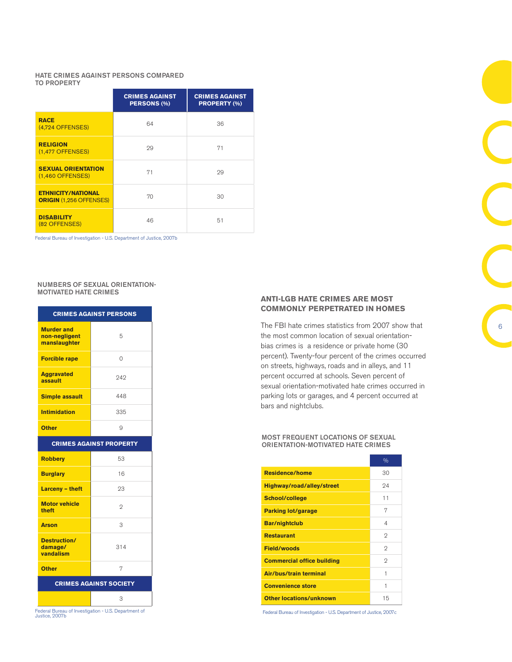#### Hate crimes against persons compared to property

|                                                             | <b>CRIMES AGAINST</b><br>PERSONS (%) | <b>CRIMES AGAINST</b><br><b>PROPERTY (%)</b> |
|-------------------------------------------------------------|--------------------------------------|----------------------------------------------|
| <b>RACE</b><br>$(4,724$ OFFENSES)                           | 64                                   | 36                                           |
| <b>RELIGION</b><br>$(1,477$ OFFENSES)                       | 29                                   | 71                                           |
| <b>SEXUAL ORIENTATION</b><br>$(1,460$ OFFENSES)             | 71                                   | 29                                           |
| <b>ETHNICITY/NATIONAL</b><br><b>ORIGIN (1,256 OFFENSES)</b> | 70                                   | 30                                           |
| <b>DISABILITY</b><br>(82 OFFENSES)                          | 46                                   | 51                                           |

Federal Bureau of Investigation - U.S. Department of Justice, 2007b

#### Numbers of sexual orientationmotivated hate crimes

| <b>CRIMES AGAINST PERSONS</b>                      |     |  |
|----------------------------------------------------|-----|--|
| <b>Murder and</b><br>non-nealigent<br>manslaughter | 5   |  |
| <b>Forcible rape</b>                               | 0   |  |
| <b>Aggravated</b><br>assault                       | 242 |  |
| <b>Simple assault</b>                              | 448 |  |
| <b>Intimidation</b>                                | 335 |  |
| <b>Other</b>                                       | 9   |  |
| <b>CRIMES AGAINST PROPERTY</b>                     |     |  |
| <b>Robbery</b>                                     | 53  |  |
| <b>Burglary</b>                                    | 16  |  |
| <b>Larceny - theft</b>                             | 23  |  |
| <b>Motor vehicle</b><br>theft                      | 2   |  |
| <b>Arson</b>                                       | 3   |  |
| <b>Destruction/</b><br>damage/<br>vandalism        | 314 |  |
| <b>Other</b>                                       | 7   |  |
| <b>CRIMES AGAINST SOCIETY</b>                      |     |  |
|                                                    | 3   |  |

Federal Bureau of Investigation - U.S. Department of Justice, 2007b

#### **ANti-LGB hate crimes are most commonly perpetrated in homes**

The FBI hate crimes statistics from 2007 show that the most common location of sexual orientationbias crimes is a residence or private home (30 percent). Twenty-four percent of the crimes occurred on streets, highways, roads and in alleys, and 11 percent occurred at schools. Seven percent of sexual orientation-motivated hate crimes occurred in parking lots or garages, and 4 percent occurred at bars and nightclubs.

#### Most frequent locations of sexual orientation-motivated hate crimes

| <b>Residence/home</b><br>30<br>94<br>Highway/road/alley/street<br>11<br>School/college<br>7<br><b>Parking lot/garage</b><br><b>Bar/nightclub</b><br>4<br>2<br><b>Restaurant</b><br>2<br><b>Field/woods</b><br>2<br><b>Commercial office building</b><br>Air/bus/train terminal<br>1<br><b>Convenience store</b><br>1<br><b>Other locations/unknown</b><br>15 | $\frac{0}{0}$ |
|--------------------------------------------------------------------------------------------------------------------------------------------------------------------------------------------------------------------------------------------------------------------------------------------------------------------------------------------------------------|---------------|
|                                                                                                                                                                                                                                                                                                                                                              |               |
|                                                                                                                                                                                                                                                                                                                                                              |               |
|                                                                                                                                                                                                                                                                                                                                                              |               |
|                                                                                                                                                                                                                                                                                                                                                              |               |
|                                                                                                                                                                                                                                                                                                                                                              |               |
|                                                                                                                                                                                                                                                                                                                                                              |               |
|                                                                                                                                                                                                                                                                                                                                                              |               |
|                                                                                                                                                                                                                                                                                                                                                              |               |
|                                                                                                                                                                                                                                                                                                                                                              |               |
|                                                                                                                                                                                                                                                                                                                                                              |               |
|                                                                                                                                                                                                                                                                                                                                                              |               |

Federal Bureau of Investigation - U.S. Department of Justice, 2007c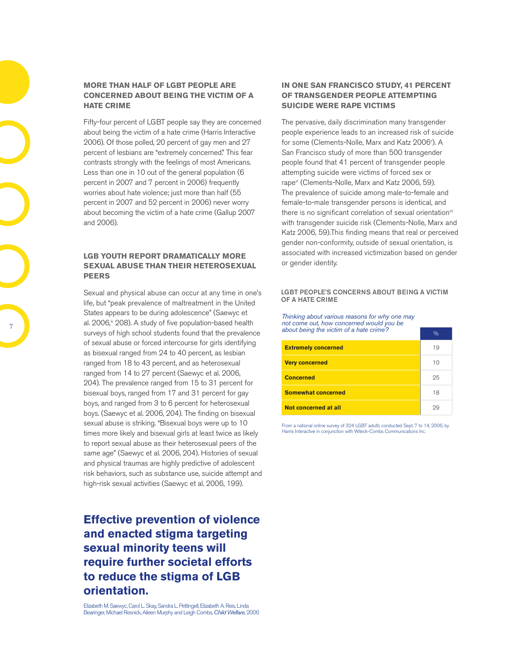#### **More than half of LGBT people are concerned about being the victim of a hate crime**

Fifty-four percent of LGBT people say they are concerned about being the victim of a hate crime (Harris Interactive 2006). Of those polled, 20 percent of gay men and 27 percent of lesbians are "extremely concerned." This fear contrasts strongly with the feelings of most Americans. Less than one in 10 out of the general population (6 percent in 2007 and 7 percent in 2006) frequently worries about hate violence; just more than half (55 percent in 2007 and 52 percent in 2006) never worry about becoming the victim of a hate crime (Gallup 2007 and 2006).

#### **LGB youth report dramatically more sexual abuse than their heterosexual peers**

Sexual and physical abuse can occur at any time in one's life, but "peak prevalence of maltreatment in the United States appears to be during adolescence" (Saewyc et al.  $2006$ ,  $\sqrt{208}$ . A study of five population-based health surveys of high school students found that the prevalence of sexual abuse or forced intercourse for girls identifying as bisexual ranged from 24 to 40 percent, as lesbian ranged from 18 to 43 percent, and as heterosexual ranged from 14 to 27 percent (Saewyc et al. 2006, 204). The prevalence ranged from 15 to 31 percent for bisexual boys, ranged from 17 and 31 percent for gay boys, and ranged from 3 to 6 percent for heterosexual boys. (Saewyc et al. 2006, 204). The finding on bisexual sexual abuse is striking. "Bisexual boys were up to 10 times more likely and bisexual girls at least twice as likely to report sexual abuse as their heterosexual peers of the same age" (Saewyc et al. 2006, 204). Histories of sexual and physical traumas are highly predictive of adolescent risk behaviors, such as substance use, suicide attempt and high-risk sexual activities (Saewyc et al. 2006, 199).

### **Effective prevention of violence and enacted stigma targeting sexual minority teens will require further societal efforts to reduce the stigma of LGB orientation.**

Elizabeth M. Saewyc, Carol L. Skay, Sandra L. Pettingell, Elizabeth A. Reis, Linda Bearinger, Michael Resnick, Aileen Murphy and Leigh Combs, *Child Welfare*, 2006

#### **In one San Francisco study, 41 percent of transgender people attempting suicide were rape victims**

The pervasive, daily discrimination many transgender people experience leads to an increased risk of suicide for some (Clements-Nolle, Marx and Katz 2006º). A San Francisco study of more than 500 transgender people found that 41 percent of transgender people attempting suicide were victims of forced sex or rapevi (Clements-Nolle, Marx and Katz 2006, 59). The prevalence of suicide among male-to-female and female-to-male transgender persons is identical, and there is no significant correlation of sexual orientation<sup>vii</sup> with transgender suicide risk (Clements-Nolle, Marx and Katz 2006, 59).This finding means that real or perceived gender non-conformity, outside of sexual orientation, is associated with increased victimization based on gender or gender identity.

#### LGBT People's concerns about being a victim OF A HATE CRIME

*Thinking about various reasons for why one may not come out, how concerned would you be about being the victim of a hate crime?* 

| about boing the noting of a nate chine. | $\frac{0}{0}$ |
|-----------------------------------------|---------------|
| <b>Extremely concerned</b>              | 19            |
| <b>Very concerned</b>                   | 10            |
| <b>Concerned</b>                        | 25            |
| <b>Somewhat concerned</b>               | 18            |
| Not concerned at all                    | 29            |

From a national online survey of 324 LGBT adults conducted Sept. 7 to 14, 2006, by Harris Interactive in conjunction with Witeck-Combs Communications Inc.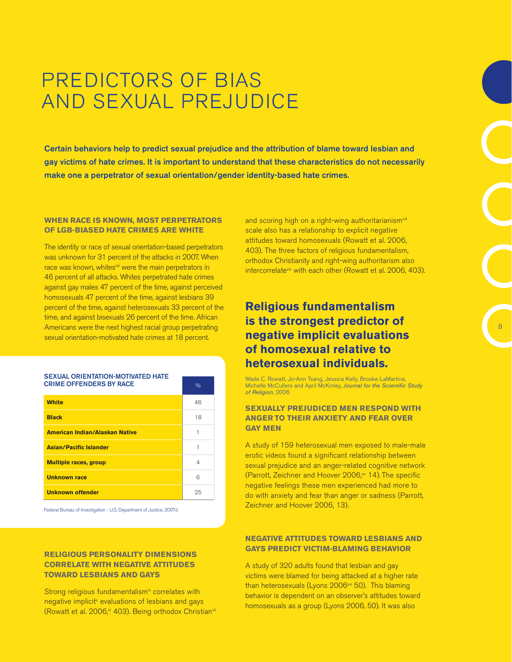### Predictors of Bias and Sexual Prejudice

Certain behaviors help to predict sexual prejudice and the attribution of blame toward lesbian and gay victims of hate crimes. It is important to understand that these characteristics do not necessarily make one a perpetrator of sexual orientation/gender identity-based hate crimes.

#### **When race is known, most perpetrators of LGB-biased hate crimes are white**

The identity or race of sexual orientation-based perpetrators was unknown for 31 percent of the attacks in 2007. When race was known, whites<sup>viii</sup> were the main perpetrators in 46 percent of all attacks. Whites perpetrated hate crimes against gay males 47 percent of the time, against perceived homosexuals 47 percent of the time, against lesbians 39 percent of the time, against heterosexuals 33 percent of the time, and against bisexuals 26 percent of the time. African Americans were the next highest racial group perpetrating sexual orientation-motivated hate crimes at 18 percent.

| <b>CRIME OFFENDERS BY RACE</b>        | $\frac{0}{0}$ |
|---------------------------------------|---------------|
| <b>White</b>                          | 46            |
| <b>Black</b>                          | 18            |
| <b>American Indian/Alaskan Native</b> |               |
| <b>Asian/Pacific Islander</b>         | 1             |
| <b>Multiple races, group</b>          | 4             |
| <b>Unknown race</b>                   | 6             |
| <b>Unknown offender</b>               | 25            |

Federal Bureau of Investigation - U.S. Department of Justice, 2007d

SEXUAL ORIENTATION-MOTIVATED HATE

#### **Religious personality dimensions correlate with negative attitudes toward lesbians and gays**

Strong religious fundamentalism<sup>ix</sup> correlates with negative implicit<sup>x</sup> evaluations of lesbians and gays (Rowatt et al. 2006,<sup>xi</sup> 403). Being orthodox Christian<sup>xii</sup>

and scoring high on a right-wing authoritarianism<sup>xiii</sup> scale also has a relationship to explicit negative attitudes toward homosexuals (Rowatt et al. 2006, 403). The three factors of religious fundamentalism, orthodox Christianity and right-wing authoritarism also intercorrelatexiv with each other (Rowatt et al. 2006, 403).

### **Religious fundamentalism is the strongest predictor of negative implicit evaluations of homosexual relative to heterosexual individuals.**

Wade C. Rowatt, Jo-Ann Tsang, Jessica Kelly, Brooke LaMartina, Michelle McCullers and April McKinley, *Journal for the Scientific Study of Religion*, 2006

#### **Sexually prejudiced men respond with anger to their anxiety and fear over gay men**

A study of 159 heterosexual men exposed to male-male erotic videos found a significant relationship between sexual prejudice and an anger-related cognitive network (Parrott, Zeichner and Hoover  $2006$ , $N$  14). The specific negative feelings these men experienced had more to do with anxiety and fear than anger or sadness (Parrott, Zeichner and Hoover 2006, 13).

#### **Negative attitudes toward lesbians and gays predict victim-blaming behavior**

A study of 320 adults found that lesbian and gay victims were blamed for being attacked at a higher rate than heterosexuals (Lyons 2006<sup>xvi</sup> 50). This blaming behavior is dependent on an observer's attitudes toward homosexuals as a group (Lyons 2006, 50). It was also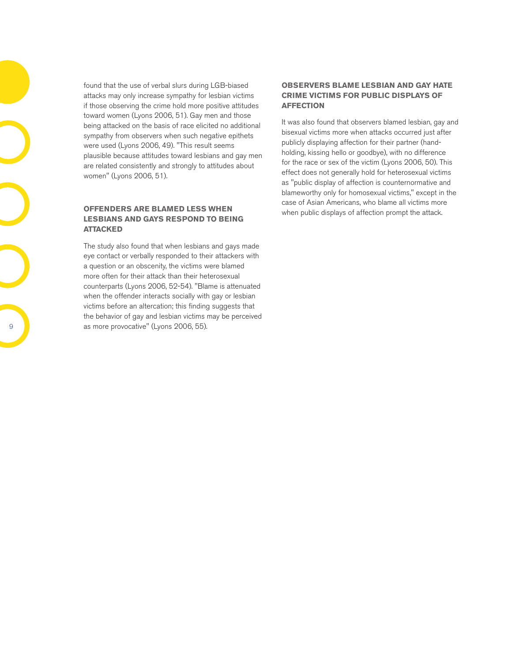found that the use of verbal slurs during LGB-biased attacks may only increase sympathy for lesbian victims if those observing the crime hold more positive attitudes toward women (Lyons 2006, 51). Gay men and those being attacked on the basis of race elicited no additional sympathy from observers when such negative epithets were used (Lyons 2006, 49). "This result seems plausible because attitudes toward lesbians and gay men are related consistently and strongly to attitudes about women" (Lyons 2006, 51).

#### **Offenders are blamed less when lesbians and gays respond to being attacked**

The study also found that when lesbians and gays made eye contact or verbally responded to their attackers with a question or an obscenity, the victims were blamed more often for their attack than their heterosexual counterparts (Lyons 2006, 52-54). "Blame is attenuated when the offender interacts socially with gay or lesbian victims before an altercation; this finding suggests that the behavior of gay and lesbian victims may be perceived as more provocative" (Lyons 2006, 55).

#### **Observers blame lesbian and gay hate crime victims for public displays of affection**

It was also found that observers blamed lesbian, gay and bisexual victims more when attacks occurred just after publicly displaying affection for their partner (handholding, kissing hello or goodbye), with no difference for the race or sex of the victim (Lyons 2006, 50). This effect does not generally hold for heterosexual victims as "public display of affection is counternormative and blameworthy only for homosexual victims," except in the case of Asian Americans, who blame all victims more when public displays of affection prompt the attack.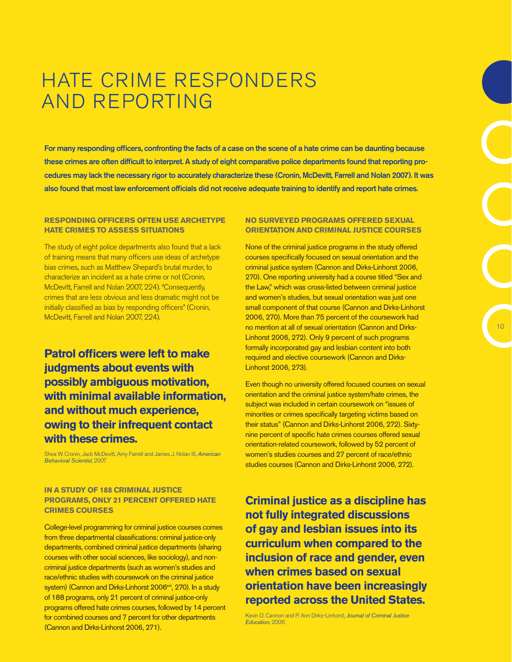### HATE CRIME RESPONDERS and Reporting

For many responding officers, confronting the facts of a case on the scene of a hate crime can be daunting because these crimes are often difficult to interpret. A study of eight comparative police departments found that reporting procedures may lack the necessary rigor to accurately characterize these (Cronin, McDevitt, Farrell and Nolan 2007). It was also found that most law enforcement officials did not receive adequate training to identify and report hate crimes.

#### **Responding officers often use archetype hate crimes to assess situations**

The study of eight police departments also found that a lack of training means that many officers use ideas of archetype bias crimes, such as Matthew Shepard's brutal murder, to characterize an incident as a hate crime or not (Cronin, McDevitt, Farrell and Nolan 2007, 224). "Consequently, crimes that are less obvious and less dramatic might not be initially classified as bias by responding officers" (Cronin, McDevitt, Farrell and Nolan 2007, 224).

### **Patrol officers were left to make judgments about events with possibly ambiguous motivation, with minimal available information, and without much experience, owing to their infrequent contact with these crimes.**

Shea W. Cronin, Jack McDevitt, Amy Farrell and James J. Nolan III, *American Behavioral Scientist*, 2007

#### **In a study of 188 criminal justice programs, only 21 percent offered hate crimes courses**

College-level programming for criminal justice courses comes from three departmental classifications: criminal justice-only departments, combined criminal justice departments (sharing courses with other social sciences, like sociology), and noncriminal justice departments (such as women's studies and race/ethnic studies with coursework on the criminal justice system) (Cannon and Dirks-Linhorst 2006<sup>xvii</sup>, 270). In a study of 188 programs, only 21 percent of criminal justice-only programs offered hate crimes courses, followed by 14 percent for combined courses and 7 percent for other departments (Cannon and Dirks-Linhorst 2006, 271).

#### **No surveyed programs offered sexual orientation and criminal justice courses**

None of the criminal justice programs in the study offered courses specifically focused on sexual orientation and the criminal justice system (Cannon and Dirks-Linhorst 2006, 270). One reporting university had a course titled "Sex and the Law," which was cross-listed between criminal justice and women's studies, but sexual orientation was just one small component of that course (Cannon and Dirks-Linhorst 2006, 270). More than 75 percent of the coursework had no mention at all of sexual orientation (Cannon and Dirks-Linhorst 2006, 272). Only 9 percent of such programs formally incorporated gay and lesbian content into both required and elective coursework (Cannon and Dirks-Linhorst 2006, 273).

Even though no university offered focused courses on sexual orientation and the criminal justice system/hate crimes, the subject was included in certain coursework on "issues of minorities or crimes specifically targeting victims based on their status" (Cannon and Dirks-Linhorst 2006, 272). Sixtynine percent of specific hate crimes courses offered sexual orientation-related coursework, followed by 52 percent of women's studies courses and 27 percent of race/ethnic studies courses (Cannon and Dirks-Linhorst 2006, 272).

**Criminal justice as a discipline has not fully integrated discussions of gay and lesbian issues into its curriculum when compared to the inclusion of race and gender, even when crimes based on sexual orientation have been increasingly reported across the United States.** 

Kevin D. Cannon and P. Ann Dirks-Linhorst, *Journal of Criminal Justice Education*, 2006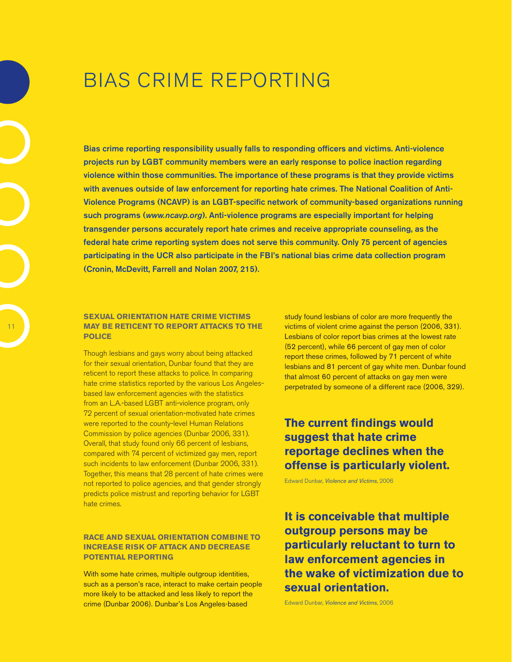### Bias Crime Reporting

Bias crime reporting responsibility usually falls to responding officers and victims. Anti-violence projects run by LGBT community members were an early response to police inaction regarding violence within those communities. The importance of these programs is that they provide victims with avenues outside of law enforcement for reporting hate crimes. The National Coalition of Anti-Violence Programs (NCAVP) is an LGBT-specific network of community-based organizations running such programs (*www.ncavp.org*). Anti-violence programs are especially important for helping transgender persons accurately report hate crimes and receive appropriate counseling, as the federal hate crime reporting system does not serve this community. Only 75 percent of agencies participating in the UCR also participate in the FBI's national bias crime data collection program (Cronin, McDevitt, Farrell and Nolan 2007, 215).

#### **Sexual orientation hate crime victims may be reticent to report attacks to the police**

Though lesbians and gays worry about being attacked for their sexual orientation, Dunbar found that they are reticent to report these attacks to police. In comparing hate crime statistics reported by the various Los Angelesbased law enforcement agencies with the statistics from an L.A.-based LGBT anti-violence program, only 72 percent of sexual orientation-motivated hate crimes were reported to the county-level Human Relations Commission by police agencies (Dunbar 2006, 331). Overall, that study found only 66 percent of lesbians, compared with 74 percent of victimized gay men, report such incidents to law enforcement (Dunbar 2006, 331). Together, this means that 28 percent of hate crimes were not reported to police agencies, and that gender strongly predicts police mistrust and reporting behavior for LGBT hate crimes.

#### **Race and sexual orientation combine to increase risk of attack and decrease potential reporting**

With some hate crimes, multiple outgroup identities, such as a person's race, interact to make certain people more likely to be attacked and less likely to report the crime (Dunbar 2006). Dunbar's Los Angeles-based

study found lesbians of color are more frequently the victims of violent crime against the person (2006, 331). Lesbians of color report bias crimes at the lowest rate (52 percent), while 66 percent of gay men of color report these crimes, followed by 71 percent of white lesbians and 81 percent of gay white men. Dunbar found that almost 60 percent of attacks on gay men were perpetrated by someone of a different race (2006, 329).

### **The current findings would suggest that hate crime reportage declines when the offense is particularly violent.**

Edward Dunbar, *Violence and Victims*, 2006

**It is conceivable that multiple outgroup persons may be particularly reluctant to turn to law enforcement agencies in the wake of victimization due to sexual orientation.**

Edward Dunbar, *Violence and Victims*, 2006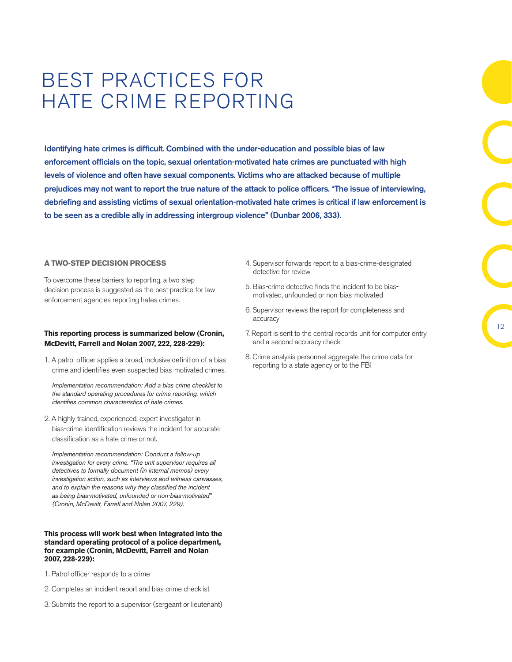### Best Practices for Hate Crime Reporting

Identifying hate crimes is difficult. Combined with the under-education and possible bias of law enforcement officials on the topic, sexual orientation-motivated hate crimes are punctuated with high levels of violence and often have sexual components. Victims who are attacked because of multiple prejudices may not want to report the true nature of the attack to police officers. "The issue of interviewing, debriefing and assisting victims of sexual orientation-motivated hate crimes is critical if law enforcement is to be seen as a credible ally in addressing intergroup violence" (Dunbar 2006, 333).

#### **A Two-Step Decision Process**

To overcome these barriers to reporting, a two-step decision process is suggested as the best practice for law enforcement agencies reporting hates crimes.

#### **This reporting process is summarized below (Cronin, McDevitt, Farrell and Nolan 2007, 222, 228-229):**

1. A patrol officer applies a broad, inclusive definition of a bias crime and identifies even suspected bias-motivated crimes.

*Implementation recommendation: Add a bias crime checklist to the standard operating procedures for crime reporting, which identifies common characteristics of hate crimes.*

2. A highly trained, experienced, expert investigator in bias-crime identification reviews the incident for accurate classification as a hate crime or not.

*Implementation recommendation: Conduct a follow-up investigation for every crime. "The unit supervisor requires all detectives to formally document (in internal memos) every investigation action, such as interviews and witness canvasses, and to explain the reasons why they classified the incident as being bias-motivated, unfounded or non-bias-motivated" (Cronin, McDevitt, Farrell and Nolan 2007, 229).* 

#### **This process will work best when integrated into the standard operating protocol of a police department, for example (Cronin, McDevitt, Farrell and Nolan 2007, 228-229):**

- 1. Patrol officer responds to a crime
- 2. Completes an incident report and bias crime checklist
- 3. Submits the report to a supervisor (sergeant or lieutenant)
- 4. Supervisor forwards report to a bias-crime-designated detective for review
- 5. Bias-crime detective finds the incident to be biasmotivated, unfounded or non-bias-motivated
- 6. Supervisor reviews the report for completeness and accuracy
- 7. Report is sent to the central records unit for computer entry and a second accuracy check
- 8. Crime analysis personnel aggregate the crime data for reporting to a state agency or to the FBI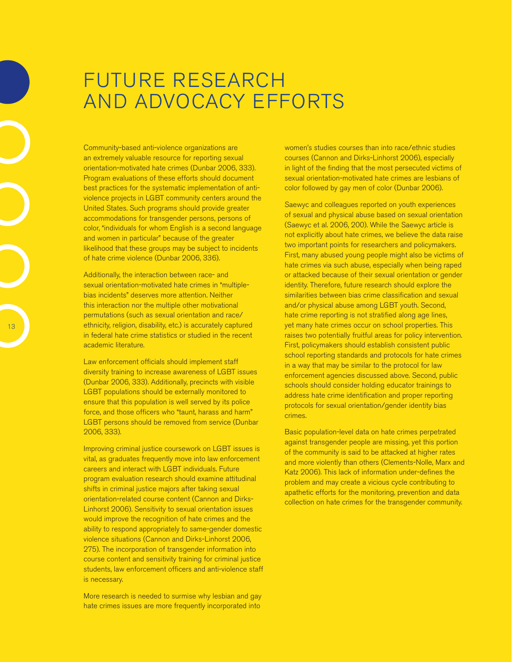### Future Research and Advocacy Efforts

Community-based anti-violence organizations are an extremely valuable resource for reporting sexual orientation-motivated hate crimes (Dunbar 2006, 333). Program evaluations of these efforts should document best practices for the systematic implementation of antiviolence projects in LGBT community centers around the United States. Such programs should provide greater accommodations for transgender persons, persons of color, "individuals for whom English is a second language and women in particular" because of the greater likelihood that these groups may be subject to incidents of hate crime violence (Dunbar 2006, 336).

Additionally, the interaction between race- and sexual orientation-motivated hate crimes in "multiplebias incidents" deserves more attention. Neither this interaction nor the multiple other motivational permutations (such as sexual orientation and race/ ethnicity, religion, disability, etc.) is accurately captured in federal hate crime statistics or studied in the recent academic literature.

Law enforcement officials should implement staff diversity training to increase awareness of LGBT issues (Dunbar 2006, 333). Additionally, precincts with visible LGBT populations should be externally monitored to ensure that this population is well served by its police force, and those officers who "taunt, harass and harm" LGBT persons should be removed from service (Dunbar 2006, 333).

Improving criminal justice coursework on LGBT issues is vital, as graduates frequently move into law enforcement careers and interact with LGBT individuals. Future program evaluation research should examine attitudinal shifts in criminal justice majors after taking sexual orientation-related course content (Cannon and Dirks-Linhorst 2006). Sensitivity to sexual orientation issues would improve the recognition of hate crimes and the ability to respond appropriately to same-gender domestic violence situations (Cannon and Dirks-Linhorst 2006, 275). The incorporation of transgender information into course content and sensitivity training for criminal justice students, law enforcement officers and anti-violence staff is necessary.

More research is needed to surmise why lesbian and gay hate crimes issues are more frequently incorporated into

women's studies courses than into race/ethnic studies courses (Cannon and Dirks-Linhorst 2006), especially in light of the finding that the most persecuted victims of sexual orientation-motivated hate crimes are lesbians of color followed by gay men of color (Dunbar 2006).

Saewyc and colleagues reported on youth experiences of sexual and physical abuse based on sexual orientation (Saewyc et al. 2006, 200). While the Saewyc article is not explicitly about hate crimes, we believe the data raise two important points for researchers and policymakers. First, many abused young people might also be victims of hate crimes via such abuse, especially when being raped or attacked because of their sexual orientation or gender identity. Therefore, future research should explore the similarities between bias crime classification and sexual and/or physical abuse among LGBT youth. Second, hate crime reporting is not stratified along age lines, yet many hate crimes occur on school properties. This raises two potentially fruitful areas for policy intervention. First, policymakers should establish consistent public school reporting standards and protocols for hate crimes in a way that may be similar to the protocol for law enforcement agencies discussed above. Second, public schools should consider holding educator trainings to address hate crime identification and proper reporting protocols for sexual orientation/gender identity bias crimes.

Basic population-level data on hate crimes perpetrated against transgender people are missing, yet this portion of the community is said to be attacked at higher rates and more violently than others (Clements-Nolle, Marx and Katz 2006). This lack of information under-defines the problem and may create a vicious cycle contributing to apathetic efforts for the monitoring, prevention and data collection on hate crimes for the transgender community.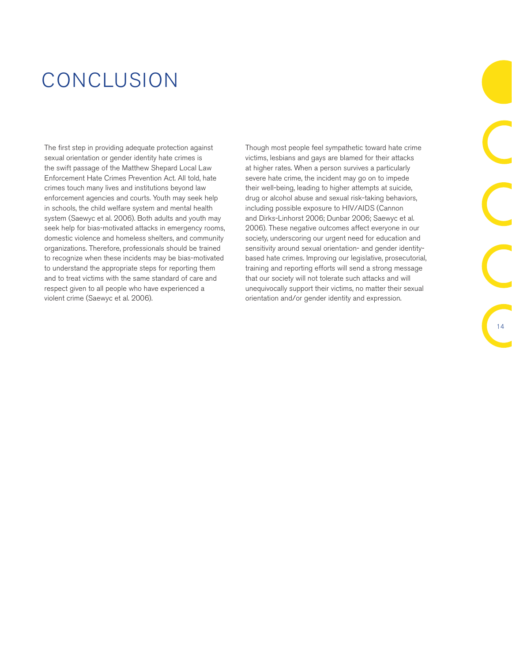### Conclusion

The first step in providing adequate protection against sexual orientation or gender identity hate crimes is the swift passage of the Matthew Shepard Local Law Enforcement Hate Crimes Prevention Act. All told, hate crimes touch many lives and institutions beyond law enforcement agencies and courts. Youth may seek help in schools, the child welfare system and mental health system (Saewyc et al. 2006). Both adults and youth may seek help for bias-motivated attacks in emergency rooms, domestic violence and homeless shelters, and community organizations. Therefore, professionals should be trained to recognize when these incidents may be bias-motivated to understand the appropriate steps for reporting them and to treat victims with the same standard of care and respect given to all people who have experienced a violent crime (Saewyc et al. 2006).

Though most people feel sympathetic toward hate crime victims, lesbians and gays are blamed for their attacks at higher rates. When a person survives a particularly severe hate crime, the incident may go on to impede their well-being, leading to higher attempts at suicide, drug or alcohol abuse and sexual risk-taking behaviors, including possible exposure to HIV/AIDS (Cannon and Dirks-Linhorst 2006; Dunbar 2006; Saewyc et al. 2006). These negative outcomes affect everyone in our society, underscoring our urgent need for education and sensitivity around sexual orientation- and gender identitybased hate crimes. Improving our legislative, prosecutorial, training and reporting efforts will send a strong message that our society will not tolerate such attacks and will unequivocally support their victims, no matter their sexual orientation and/or gender identity and expression.

14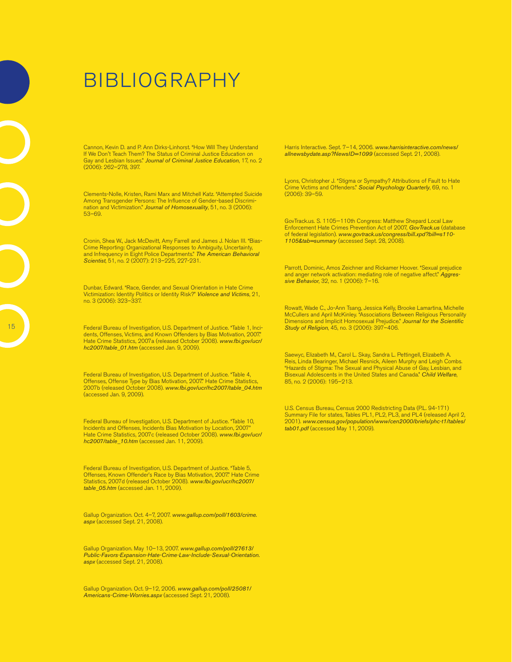# Bibliography

Cannon, Kevin D. and P. Ann Dirks-Linhorst. "How Will They Understand If We Don't Teach Them? The Status of Criminal Justice Education on Gay and Lesbian Issues." *Journal of Criminal Justice Education*, 17, no. 2 (2006): 262–278, 397.

Clements-Nolle, Kristen, Rami Marx and Mitchell Katz. "Attempted Suicide Among Transgender Persons: The Influence of Gender-based Discrimination and Victimization." *Journal of Homosexuality*, 51, no. 3 (2006): 53–69.

Cronin, Shea W., Jack McDevitt, Amy Farrell and James J. Nolan III. "Bias-Crime Reporting: Organizational Responses to Ambiguity, Uncertainty, and Infrequency in Eight Police Departments." *The American Behavioral Scientist*, 51, no. 2 (2007): 213–225, 227-231.

Dunbar, Edward. "Race, Gender, and Sexual Orientation in Hate Crime Victimization: Identity Politics or Identity Risk?" *Violence and Victims*, 21, no. 3 (2006): 323–337.

Federal Bureau of Investigation, U.S. Department of Justice. "Table 1, Incidents, Offenses, Victims, and Known Offenders by Bias Motivation, 2007." Hate Crime Statistics, 2007a (released October 2008). *www.fbi.gov/ucr/ hc2007/table\_01.htm* (accessed Jan. 9, 2009).

Federal Bureau of Investigation, U.S. Department of Justice. "Table 4, Offenses, Offense Type by Bias Motivation, 2007." Hate Crime Statistics, 2007b (released October 2008). *www.fbi.gov/ucr/hc2007/table\_04.htm* (accessed Jan. 9, 2009).

Federal Bureau of Investigation, U.S. Department of Justice. "Table 10, Incidents and Offenses, Incidents Bias Motivation by Location, 2007" Hate Crime Statistics, 2007c (released October 2008). *www.fbi.gov/ucr/ hc2007/table\_10.htm* (accessed Jan. 11, 2009).

Federal Bureau of Investigation, U.S. Department of Justice. "Table 5, Offenses, Known Offender's Race by Bias Motivation, 2007." Hate Crime Statistics, 2007d (released October 2008). *www.fbi.gov/ucr/hc2007/ table\_05.htm* (accessed Jan. 11, 2009).

Gallup Organization. Oct. 4–7, 2007. *www.gallup.com/poll/1603/crime. aspx* (accessed Sept. 21, 2008).

Gallup Organization. May 10–13, 2007. *www.gallup.com/poll/27613/ Public-Favors-Expansion-Hate-Crime-Law-Include-Sexual-Orientation. aspx* (accessed Sept. 21, 2008).

Gallup Organization. Oct. 9–12, 2006. *www.gallup.com/poll/25081/ Americans-Crime-Worries.aspx* (accessed Sept. 21, 2008).

Harris Interactive. Sept. 7–14, 2006. *www.harrisinteractive.com/news/ allnewsbydate.asp?NewsID=1099* (accessed Sept. 21, 2008).

Lyons, Christopher J. "Stigma or Sympathy? Attributions of Fault to Hate Crime Victims and Offenders." *Social Psychology Quarterly*, 69, no. 1 (2006): 39–59.

GovTrack.us. S. 1105—110th Congress: Matthew Shepard Local Law Enforcement Hate Crimes Prevention Act of 2007, *GovTrack.us* (database of federal legislation). *www.govtrack.us/congress/bill.xpd?bill=s110- 1105&tab=summary* (accessed Sept. 28, 2008).

Parrott, Dominic, Amos Zeichner and Rickamer Hoover. "Sexual prejudice and anger network activation: mediating role of negative affect." *Aggressive Behavior*, 32, no. 1 (2006): 7–16.

Rowatt, Wade C., Jo-Ann Tsang, Jessica Kelly, Brooke Lamartina, Michelle McCullers and April McKinley. "Associations Between Religious Personality Dimensions and Implicit Homosexual Prejudice." *Journal for the Scientific Study of Religion*, 45, no. 3 (2006): 397–406.

Saewyc, Elizabeth M., Carol L. Skay, Sandra L. Pettingell, Elizabeth A. Reis, Linda Bearinger, Michael Resnick, Aileen Murphy and Leigh Combs. "Hazards of Stigma: The Sexual and Physical Abuse of Gay, Lesbian, and Bisexual Adolescents in the United States and Canada." *Child Welfare*, 85, no. 2 (2006): 195–213.

U.S. Census Bureau, Census 2000 Redistricting Data (P.L. 94-171) Summary File for states, Tables PL1, PL2, PL3, and PL4 (released April 2, 2001). *www.census.gov/population/www/cen2000/briefs/phc-t1/tables/ tab01.pdf* (accessed May 11, 2009).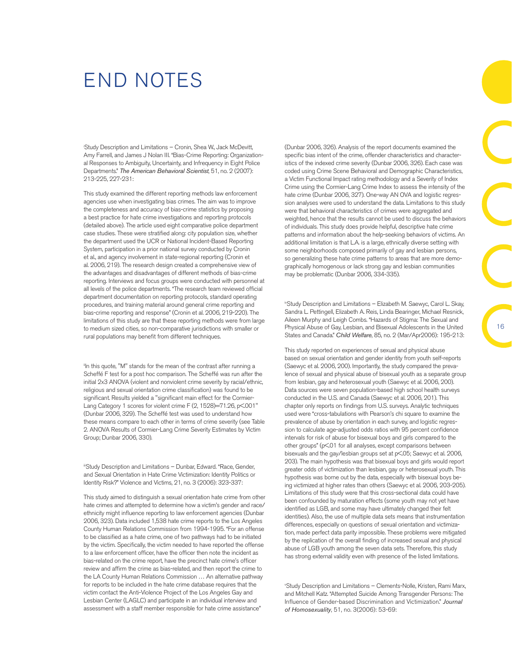### END Notes

i Study Description and Limitations – Cronin, Shea W., Jack McDevitt, Amy Farrell, and James J Nolan III. "Bias-Crime Reporting: Organizational Responses to Ambiguity, Uncertainty, and Infrequency in Eight Police Departments." *The American Behavioral Scientist*, 51, no. 2 (2007): 213-225, 227-231:

This study examined the different reporting methods law enforcement agencies use when investigating bias crimes. The aim was to improve the completeness and accuracy of bias-crime statistics by proposing a best practice for hate crime investigations and reporting protocols (detailed above). The article used eight comparative police department case studies. These were stratified along: city population size, whether the department used the UCR or National Incident-Based Reporting System, participation in a prior national survey conducted by Cronin et al., and agency involvement in state-regional reporting (Cronin et al. 2006, 219). The research design created a comprehensive view of the advantages and disadvantages of different methods of bias-crime reporting. Interviews and focus groups were conducted with personnel at all levels of the police departments. "The research team reviewed official department documentation on reporting protocols, standard operating procedures, and training material around general crime reporting and bias-crime reporting and response" (Cronin et al. 2006, 219-220). The limitations of this study are that these reporting methods were from large to medium sized cities, so non-comparative jurisdictions with smaller or rural populations may benefit from different techniques.

"In this quote, "M" stands for the mean of the contrast after running a Scheffé F test for a post hoc comparison. The Scheffé was run after the initial 2x3 ANOVA (violent and nonviolent crime severity by racial/ethnic, religious and sexual orientation crime classification) was found to be significant. Results yielded a "significant main effect for the Cormier-Lang Category 1 scores for violent crime F (2, 1528)=71.26, p<001" (Dunbar 2006, 329). The Scheffé test was used to understand how these means compare to each other in terms of crime severity (see Table 2. ANOVA Results of Cormier-Lang Crime Severity Estimates by Victim Group; Dunbar 2006, 330).

iiStudy Description and Limitations - Dunbar, Edward. "Race, Gender, and Sexual Orientation in Hate Crime Victimization: Identity Politics or Identity Risk?" Violence and Victims, 21, no. 3 (2006): 323-337:

This study aimed to distinguish a sexual orientation hate crime from other hate crimes and attempted to determine how a victim's gender and race/ ethnicity might influence reporting to law enforcement agencies (Dunbar 2006, 323). Data included 1,538 hate crime reports to the Los Angeles County Human Relations Commission from 1994-1995. "For an offense to be classified as a hate crime, one of two pathways had to be initiated by the victim. Specifically, the victim needed to have reported the offense to a law enforcement officer, have the officer then note the incident as bias-related on the crime report, have the precinct hate crime's officer review and affirm the crime as bias-related, and then report the crime to the LA County Human Relations Commission … An alternative pathway for reports to be included in the hate crime database requires that the victim contact the Anti-Violence Project of the Los Angeles Gay and Lesbian Center (LAGLC) and participate in an individual interview and assessment with a staff member responsible for hate crime assistance"

(Dunbar 2006, 326). Analysis of the report documents examined the specific bias intent of the crime, offender characteristics and characteristics of the indexed crime severity (Dunbar 2006, 326). Each case was coded using Crime Scene Behavioral and Demographic Characteristics, a Victim Functional Impact rating methodology and a Severity of Index Crime using the Cormier-Lang Crime Index to assess the intensity of the hate crime (Dunbar 2006, 327). One-way AN OVA and logistic regression analyses were used to understand the data. Limitations to this study were that behavioral characteristics of crimes were aggregated and weighted, hence that the results cannot be used to discuss the behaviors of individuals. This study does provide helpful, descriptive hate crime patterns and information about the help-seeking behaviors of victims. An additional limitation is that L.A. is a large, ethnically diverse setting with some neighborhoods composed primarily of gay and lesbian persons, so generalizing these hate crime patterns to areas that are more demographically homogenous or lack strong gay and lesbian communities may be problematic (Dunbar 2006, 334-335).

ivStudy Description and Limitations - Elizabeth M. Saewyc, Carol L. Skay, Sandra L. Pettingell, Elizabeth A. Reis, Linda Bearinger, Michael Resnick, Aileen Murphy and Leigh Combs. "Hazards of Stigma: The Sexual and Physical Abuse of Gay, Lesbian, and Bisexual Adolescents in the United States and Canada." *Child Welfare*, 85, no. 2 (Mar/Apr2006): 195-213:

This study reported on experiences of sexual and physical abuse based on sexual orientation and gender identity from youth self-reports (Saewyc et al. 2006, 200). Importantly, the study compared the prevalence of sexual and physical abuse of bisexual youth as a separate group from lesbian, gay and heterosexual youth (Saewyc et al. 2006, 200). Data sources were seven population-based high school health surveys conducted in the U.S. and Canada (Saewyc et al. 2006, 201). This chapter only reports on findings from U.S. surveys. Analytic techniques used were "cross-tabulations with Pearson's chi square to examine the prevalence of abuse by orientation in each survey, and logistic regression to calculate age-adjusted odds ratios with 95 percent confidence intervals for risk of abuse for bisexual boys and girls compared to the other groups" (p<01 for all analyses, except comparisons between bisexuals and the gay/lesbian groups set at p<05; Saewyc et al. 2006, 203). The main hypothesis was that bisexual boys and girls would report greater odds of victimization than lesbian, gay or heterosexual youth. This hypothesis was borne out by the data, especially with bisexual boys being victimized at higher rates than others (Saewyc et al. 2006, 203-205). Limitations of this study were that this cross-sectional data could have been confounded by maturation effects (some youth may not yet have identified as LGB, and some may have ultimately changed their felt identities). Also, the use of multiple data sets means that instrumentation differences, especially on questions of sexual orientation and victimization, made perfect data parity impossible. These problems were mitigated by the replication of the overall finding of increased sexual and physical abuse of LGB youth among the seven data sets. Therefore, this study has strong external validity even with presence of the listed limitations.

v Study Description and Limitations – Clements-Nolle, Kristen, Rami Marx, and Mitchell Katz. "Attempted Suicide Among Transgender Persons: The Influence of Gender-based Discrimination and Victimization." *Journal of Homosexuality*, 51, no. 3(2006): 53-69: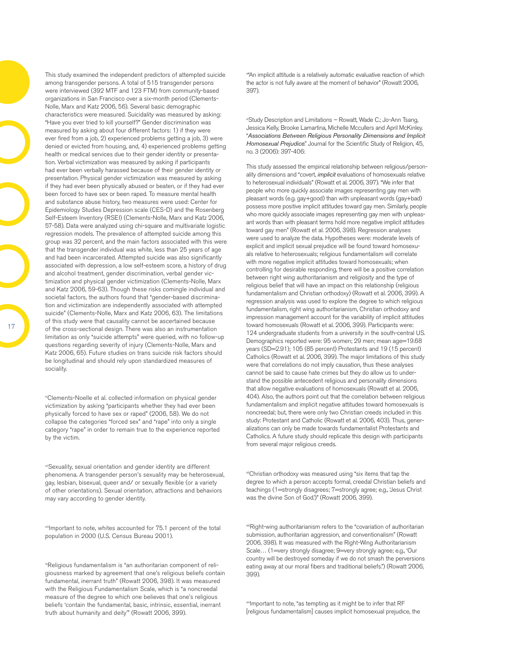This study examined the independent predictors of attempted suicide among transgender persons. A total of 515 transgender persons were interviewed (392 MTF and 123 FTM) from community-based organizations in San Francisco over a six-month period (Clements-Nolle, Marx and Katz 2006, 56). Several basic demographic characteristics were measured. Suicidality was measured by asking: "Have you ever tried to kill yourself?" Gender discrimination was measured by asking about four different factors: 1) if they were ever fired from a job, 2) experienced problems getting a job, 3) were denied or evicted from housing, and, 4) experienced problems getting health or medical services due to their gender identity or presentation. Verbal victimization was measured by asking if participants had ever been verbally harassed because of their gender identity or presentation. Physical gender victimization was measured by asking if they had ever been physically abused or beaten, or if they had ever been forced to have sex or been raped. To measure mental health and substance abuse history, two measures were used: Center for Epidemiology Studies Depression scale (CES-D) and the Rosenberg Self-Esteem Inventory (RSEI) (Clements-Nolle, Marx and Katz 2006, 57-58). Data were analyzed using chi-square and multivariate logistic regression models. The prevalence of attempted suicide among this group was 32 percent, and the main factors associated with this were that the transgender individual was white, less than 25 years of age and had been incarcerated. Attempted suicide was also significantly associated with depression, a low self-esteem score, a history of drug and alcohol treatment, gender discrimination, verbal gender victimization and physical gender victimization (Clements-Nolle, Marx and Katz 2006, 59-63). Though these risks comingle individual and societal factors, the authors found that "gender-based discrimination and victimization are independently associated with attempted suicide" (Clements-Nolle, Marx and Katz 2006, 63). The limitations of this study were that causality cannot be ascertained because of the cross-sectional design. There was also an instrumentation limitation as only "suicide attempts" were queried, with no follow-up questions regarding severity of injury (Clements-Nolle, Marx and Katz 2006, 65). Future studies on trans suicide risk factors should be longitudinal and should rely upon standardized measures of sociality.

viClements-Noelle et al. collected information on physical gender victimization by asking "participants whether they had ever been physically forced to have sex or raped" (2006, 58). We do not collapse the categories "forced sex" and "rape" into only a single category "rape" in order to remain true to the experience reported by the victim.

viiSexuality, sexual orientation and gender identity are different phenomena. A transgender person's sexuality may be heterosexual, gay, lesbian, bisexual, queer and/ or sexually flexible (or a variety of other orientations). Sexual orientation, attractions and behaviors may vary according to gender identity.

viiiImportant to note, whites accounted for 75.1 percent of the total population in 2000 (U.S. Census Bureau 2001).

ixReligious fundamentalism is "an authoritarian component of religiousness marked by agreement that one's religious beliefs contain fundamental, inerrant truth" (Rowatt 2006, 398). It was measured with the Religious Fundamentalism Scale, which is "a noncreedal measure of the degree to which one believes that one's religious beliefs 'contain the fundamental, basic, intrinsic, essential, inerrant truth about humanity and deity'" (Rowatt 2006, 399).

x "An implicit attitude is a relatively automatic evaluative reaction of which the actor is not fully aware at the moment of behavior" (Rowatt 2006, 397).

xiStudy Description and Limitations – Rowatt, Wade C.; Jo-Ann Tsang, Jessica Kelly, Brooke Lamartina, Michelle Mccullers and April McKinley. "*Associations Between Religious Personality Dimensions and Implicit Homosexual Prejudice*." Journal for the Scientific Study of Religion, 45, no. 3 (2006): 397-406:

This study assessed the empirical relationship between religious/personality dimensions and "covert, *implicit* evaluations of homosexuals relative to heterosexual individuals" (Rowatt et al. 2006, 397). "We infer that people who more quickly associate images representing gay men with pleasant words (e.g. gay+good) than with unpleasant words (gay+bad) possess more positive implicit attitudes toward gay men. Similarly, people who more quickly associate images representing gay men with unpleasant words than with pleasant terms hold more negative implicit attitudes toward gay men" (Rowatt et al. 2006, 398). Regression analyses were used to analyze the data. Hypotheses were: moderate levels of explicit and implicit sexual prejudice will be found toward homosexuals relative to heterosexuals; religious fundamentalism will correlate with more negative implicit attitudes toward homosexuals; when controlling for desirable responding, there will be a positive correlation between right wing authoritarianism and religiosity and the type of religious belief that will have an impact on this relationship (religious fundamentalism and Christian orthodoxy) (Rowatt et al. 2006, 399). A regression analysis was used to explore the degree to which religious fundamentalism, right wing authoritarianism, Christian orthodoxy and impression management account for the variability of implicit attitudes toward homosexuals (Rowatt et al. 2006, 399). Participants were: 124 undergraduate students from a university in the south-central US. Demographics reported were: 95 women; 29 men; mean age=19.68 years (SD=2.91); 105 (85 percent) Protestants and 19 (15 percent) Catholics (Rowatt et al. 2006, 399). The major limitations of this study were that correlations do not imply causation, thus these analyses cannot be said to cause hate crimes but they do allow us to understand the possible antecedent religious and personality dimensions that allow negative evaluations of homosexuals (Rowatt et al. 2006, 404). Also, the authors point out that the correlation between religious fundamentalism and implicit negative attitudes toward homosexuals is noncreedal; but, there were only two Christian creeds included in this study: Protestant and Catholic (Rowatt et al. 2006, 403). Thus, generalizations can only be made towards fundamentalist Protestants and Catholics. A future study should replicate this design with participants from several major religious creeds.

xiiChristian orthodoxy was measured using "six items that tap the degree to which a person accepts formal, creedal Christian beliefs and teachings (1=strongly disagrees; 7=strongly agree; e.g., 'Jesus Christ was the divine Son of God.')" (Rowatt 2006, 399).

xiiiRight-wing authoritarianism refers to the "covariation of authoritarian submission, authoritarian aggression, and conventionalism" (Rowatt 2006, 398). It was measured with the Right-Wing Authoritarianism Scale... (1=very strongly disagree; 9=very strongly agree; e.g., 'Our country will be destroyed someday if we do not smash the perversions eating away at our moral fibers and traditional beliefs.") (Rowatt 2006, 399).

xivImportant to note, "as tempting as it might be to infer that RF [religious fundamentalism] causes implicit homosexual prejudice, the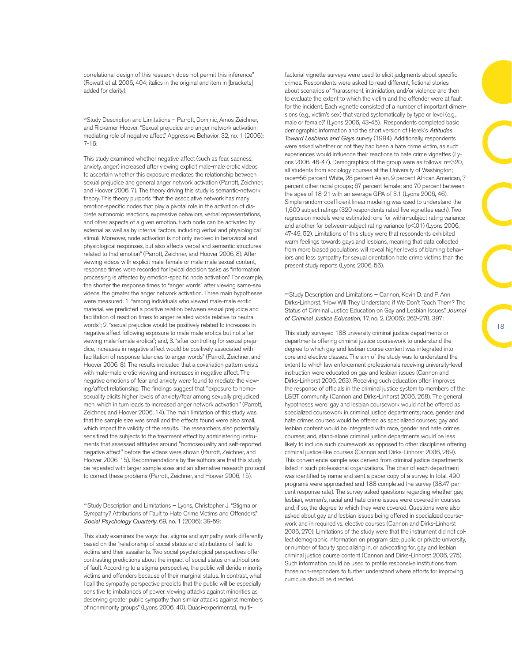correlational design of this research does not permit this inference" (Rowatt et al. 2006, 404; italics in the original and item in [brackets] added for clarity).

xvStudy Description and Limitations – Parrott, Dominic, Amos Zeichner, and Rickamer Hoover. "Sexual prejudice and anger network activation: mediating role of negative affect." Aggressive Behavior, 32, no. 1 (2006): 7-16:

This study examined whether negative affect (such as fear, sadness, anxiety, anger) increased after viewing explicit male-male erotic videos to ascertain whether this exposure mediates the relationship between sexual prejudice and general anger network activation (Parrott, Zeichner, and Hoover 2006, 7). The theory driving this study is semantic-network theory. This theory purports "that the associative network has many emotion-specific nodes that play a pivotal role in the activation of discrete autonomic reactions, expressive behaviors, verbal representations, and other aspects of a given emotion. Each node can be activated by external as well as by internal factors, including verbal and physiological stimuli. Moreover, node activation is not only involved in behavioral and physiological responses, but also affects verbal and semantic structures related to that emotion" (Parrott, Zeichner, and Hoover 2006, 8). After viewing videos with explicit male-female or male-male sexual content, response times were recorded for lexical decision tasks as "information processing is affected by emotion-specific node activation." For example, the shorter the response times to "anger words" after viewing same-sex videos, the greater the anger network activation. Three main hypotheses were measured: 1. "among individuals who viewed male-male erotic material, we predicted a positive relation between sexual prejudice and facilitation of reaction times to anger-related words relative to neutral words"; 2. "sexual prejudice would be positively related to increases in negative affect following exposure to male-male erotica but not after viewing male-female erotica"; and, 3. "after controlling for sexual prejudice, increases in negative affect would be positively associated with facilitation of response latencies to anger words" (Parrott, Zeichner, and Hoover 2006, 8). The results indicated that a covariation pattern exists with male-male erotic viewing and increases in negative affect. The negative emotions of fear and anxiety were found to mediate the viewing/affect relationship. The findings suggest that "exposure to homosexuality elicits higher levels of anxiety/fear among sexually prejudiced men, which in turn leads to increased anger network activation" (Parrott, Zeichner, and Hoover 2006, 14). The main limitation of this study was that the sample size was small and the effects found were also small, which impact the validity of the results. The researchers also potentially sensitized the subjects to the treatment effect by administering instruments that assessed attitudes around "homosexuality and self-reported negative affect" before the videos were shown (Parrott, Zeichner, and Hoover 2006, 15). Recommendations by the authors are that this study be repeated with larger sample sizes and an alternative research protocol to correct these problems (Parrott, Zeichner, and Hoover 2006, 15).

xviStudy Description and Limitations – Lyons, Christopher J. "Stigma or Sympathy? Attributions of Fault to Hate Crime Victims and Offenders." *Social Psychology Quarterly*, 69, no. 1 (2006): 39-59:

This study examines the ways that stigma and sympathy work differently based on the "relationship of social status and attributions of fault to victims and their assailants. Two social psychological perspectives offer contrasting predictions about the impact of social status on attributions of fault. According to a stigma perspective, the public will deride minority victims and offenders because of their marginal status. In contrast, what I call the sympathy perspective predicts that the public will be especially sensitive to imbalances of power, viewing attacks against minorities as deserving greater public sympathy than similar attacks against members of nonminority groups" (Lyons 2006, 40). Quasi-experimental, multi-

factorial vignette surveys were used to elicit judgments about specific crimes. Respondents were asked to read different, fictional stories about scenarios of "harassment, intimidation, and/or violence and then to evaluate the extent to which the victim and the offender were at fault for the incident. Each vignette consisted of a number of important dimensions (e.g., victim's sex) that varied systematically by type or level (e.g., male or female)" (Lyons 2006, 43-45). Respondents completed basic demographic information and the short version of Herek's *Attitudes Toward Lesbians and Gays* survey (1994). Additionally, respondents were asked whether or not they had been a hate crime victim, as such experiences would influence their reactions to hate crime vignettes (Lyons 2006, 46-47). Demographics of the group were as follows: n=320, all students from sociology courses at the University of Washington; race=56 percent White, 28 percent Asian, 9 percent African American, 7 percent other racial groups; 67 percent female; and 70 percent between the ages of 18-21 with an average GPA of 3.1 (Lyons 2006, 46). Simple random-coefficient linear modeling was used to understand the 1,600 subject ratings (320 respondents rated five vignettes each). Two regression models were estimated: one for within-subject rating variance and another for between-subject rating variance (p<01) (Lyons 2006, 47-49, 52). Limitations of this study were that respondents exhibited warm feelings towards gays and lesbians, meaning that data collected from more biased populations will reveal higher levels of blaming behaviors and less sympathy for sexual orientation hate crime victims than the present study reports (Lyons 2006, 56).

xviiStudy Description and Limitations – Cannon, Kevin D. and P. Ann Dirks-Linhorst. "How Will They Understand if We Don't Teach Them? The Status of Criminal Justice Education on Gay and Lesbian Issues." *Journal of Criminal Justice Education*, 17, no. 2, (2006): 262-278, 397:

This study surveyed 188 university criminal justice departments or departments offering criminal justice coursework to understand the degree to which gay and lesbian course content was integrated into core and elective classes. The aim of the study was to understand the extent to which law enforcement professionals receiving university-level instruction were educated on gay and lesbian issues (Cannon and Dirks-Linhorst 2006, 263). Receiving such education often improves the response of officials in the criminal justice system to members of the LGBT community (Cannon and Dirks-Linhorst 2006, 268). The general hypotheses were: gay and lesbian coursework would not be offered as specialized coursework in criminal justice departments; race, gender and hate crimes courses would be offered as specialized courses; gay and lesbian content would be integrated with race, gender and hate crimes courses; and, stand-alone criminal justice departments would be less likely to include such coursework as opposed to other disciplines offering criminal justice-like courses (Cannon and Dirks-Linhorst 2006, 269). This convenience sample was derived from criminal justice departments listed in such professional organizations. The chair of each department was identified by name and sent a paper copy of a survey. In total, 490 programs were approached and 188 completed the survey (38.47 percent response rate). The survey asked questions regarding whether gay, lesbian, women's, racial and hate crime issues were covered in courses and, if so, the degree to which they were covered. Questions were also asked about gay and lesbian issues being offered in specialized coursework and in required vs. elective courses (Cannon and Dirks-Linhorst 2006, 270). Limitations of the study were that the instrument did not collect demographic information on program size, public or private university, or number of faculty specializing in, or advocating for, gay and lesbian criminal justice course content (Cannon and Dirks-Linhorst 2006, 275). Such information could be used to profile responsive institutions from those non-responders to further understand where efforts for improving curricula should be directed.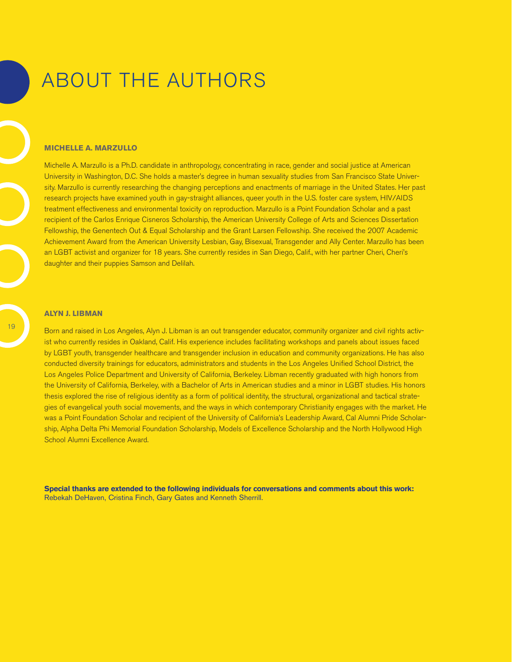# About the authors

#### **Michelle A. Marzullo**

Michelle A. Marzullo is a Ph.D. candidate in anthropology, concentrating in race, gender and social justice at American University in Washington, D.C. She holds a master's degree in human sexuality studies from San Francisco State University. Marzullo is currently researching the changing perceptions and enactments of marriage in the United States. Her past research projects have examined youth in gay-straight alliances, queer youth in the U.S. foster care system, HIV/AIDS treatment effectiveness and environmental toxicity on reproduction. Marzullo is a Point Foundation Scholar and a past recipient of the Carlos Enrique Cisneros Scholarship, the American University College of Arts and Sciences Dissertation Fellowship, the Genentech Out & Equal Scholarship and the Grant Larsen Fellowship. She received the 2007 Academic Achievement Award from the American University Lesbian, Gay, Bisexual, Transgender and Ally Center. Marzullo has been an LGBT activist and organizer for 18 years. She currently resides in San Diego, Calif., with her partner Cheri, Cheri's daughter and their puppies Samson and Delilah.

#### **Alyn J. Libman**

Born and raised in Los Angeles, Alyn J. Libman is an out transgender educator, community organizer and civil rights activist who currently resides in Oakland, Calif. His experience includes facilitating workshops and panels about issues faced by LGBT youth, transgender healthcare and transgender inclusion in education and community organizations. He has also conducted diversity trainings for educators, administrators and students in the Los Angeles Unified School District, the Los Angeles Police Department and University of California, Berkeley. Libman recently graduated with high honors from the University of California, Berkeley, with a Bachelor of Arts in American studies and a minor in LGBT studies. His honors thesis explored the rise of religious identity as a form of political identity, the structural, organizational and tactical strategies of evangelical youth social movements, and the ways in which contemporary Christianity engages with the market. He was a Point Foundation Scholar and recipient of the University of California's Leadership Award, Cal Alumni Pride Scholarship, Alpha Delta Phi Memorial Foundation Scholarship, Models of Excellence Scholarship and the North Hollywood High School Alumni Excellence Award.

**Special thanks are extended to the following individuals for conversations and comments about this work:** Rebekah DeHaven, Cristina Finch, Gary Gates and Kenneth Sherrill.